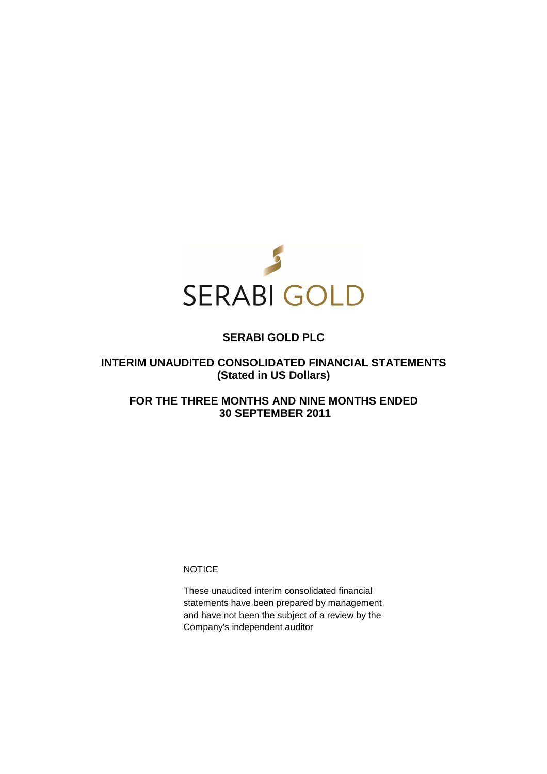

# **SERABI GOLD PLC**

# **INTERIM UNAUDITED CONSOLIDATED FINANCIAL STATEMENTS (Stated in US Dollars)**

# **FOR THE THREE MONTHS AND NINE MONTHS ENDED 30 SEPTEMBER 2011**

**NOTICE** 

These unaudited interim consolidated financial statements have been prepared by management and have not been the subject of a review by the Company's independent auditor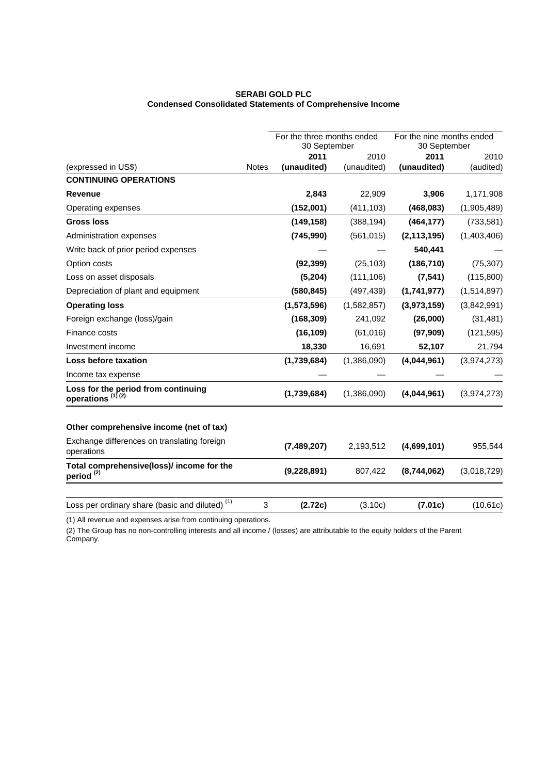# **SERABI GOLD PLC Condensed Consolidated Statements of Comprehensive Income**

|                                                                     |              | For the three months ended<br>30 September |             | For the nine months ended<br>30 September |             |
|---------------------------------------------------------------------|--------------|--------------------------------------------|-------------|-------------------------------------------|-------------|
|                                                                     |              | 2011                                       | 2010        | 2011                                      | 2010        |
| (expressed in US\$)                                                 | <b>Notes</b> | (unaudited)                                | (unaudited) | (unaudited)                               | (audited)   |
| <b>CONTINUING OPERATIONS</b>                                        |              |                                            |             |                                           |             |
| <b>Revenue</b>                                                      |              | 2,843                                      | 22,909      | 3,906                                     | 1,171,908   |
| Operating expenses                                                  |              | (152,001)                                  | (411, 103)  | (468,083)                                 | (1,905,489) |
| <b>Gross loss</b>                                                   |              | (149, 158)                                 | (388, 194)  | (464, 177)                                | (733, 581)  |
| Administration expenses                                             |              | (745, 990)                                 | (561, 015)  | (2, 113, 195)                             | (1,403,406) |
| Write back of prior period expenses                                 |              |                                            |             | 540,441                                   |             |
| Option costs                                                        |              | (92, 399)                                  | (25, 103)   | (186, 710)                                | (75, 307)   |
| Loss on asset disposals                                             |              | (5,204)                                    | (111, 106)  | (7, 541)                                  | (115,800)   |
| Depreciation of plant and equipment                                 |              | (580, 845)                                 | (497, 439)  | (1,741,977)                               | (1,514,897) |
| <b>Operating loss</b>                                               |              | (1,573,596)                                | (1,582,857) | (3,973,159)                               | (3,842,991) |
| Foreign exchange (loss)/gain                                        |              | (168, 309)                                 | 241,092     | (26,000)                                  | (31, 481)   |
| Finance costs                                                       |              | (16, 109)                                  | (61, 016)   | (97, 909)                                 | (121, 595)  |
| Investment income                                                   |              | 18,330                                     | 16,691      | 52,107                                    | 21,794      |
| Loss before taxation                                                |              | (1,739,684)                                | (1,386,090) | (4,044,961)                               | (3,974,273) |
| Income tax expense                                                  |              |                                            |             |                                           |             |
| Loss for the period from continuing<br>operations <sup>(1)(2)</sup> |              | (1,739,684)                                | (1,386,090) | (4,044,961)                               | (3,974,273) |
| Other comprehensive income (net of tax)                             |              |                                            |             |                                           |             |
| Exchange differences on translating foreign<br>operations           |              | (7,489,207)                                | 2,193,512   | (4,699,101)                               | 955,544     |
| Total comprehensive(loss)/ income for the<br>period <sup>(2)</sup>  |              | (9,228,891)                                | 807,422     | (8,744,062)                               | (3,018,729) |
| Loss per ordinary share (basic and diluted) <sup>(1)</sup>          | 3            | (2.72c)                                    | (3.10c)     | (7.01c)                                   | (10.61c)    |

(1) All revenue and expenses arise from continuing operations.

(2) The Group has no non-controlling interests and all income / (losses) are attributable to the equity holders of the Parent Company.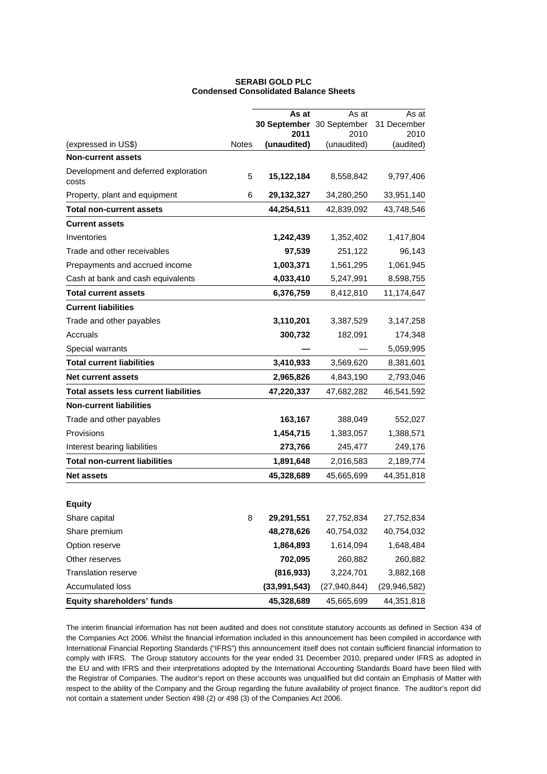|                                              |              | As at                     | As at               | As at             |
|----------------------------------------------|--------------|---------------------------|---------------------|-------------------|
|                                              |              | 30 September 30 September |                     | 31 December       |
| (expressed in US\$)                          | <b>Notes</b> | 2011<br>(unaudited)       | 2010<br>(unaudited) | 2010<br>(audited) |
| <b>Non-current assets</b>                    |              |                           |                     |                   |
| Development and deferred exploration         |              |                           |                     |                   |
| costs                                        | 5            | 15,122,184                | 8,558,842           | 9,797,406         |
| Property, plant and equipment                | 6            | 29,132,327                | 34,280,250          | 33,951,140        |
| <b>Total non-current assets</b>              |              | 44,254,511                | 42,839,092          | 43,748,546        |
| <b>Current assets</b>                        |              |                           |                     |                   |
| Inventories                                  |              | 1,242,439                 | 1,352,402           | 1,417,804         |
| Trade and other receivables                  |              | 97,539                    | 251,122             | 96,143            |
| Prepayments and accrued income               |              | 1,003,371                 | 1,561,295           | 1,061,945         |
| Cash at bank and cash equivalents            |              | 4,033,410                 | 5,247,991           | 8,598,755         |
| <b>Total current assets</b>                  |              | 6,376,759                 | 8,412,810           | 11,174,647        |
| <b>Current liabilities</b>                   |              |                           |                     |                   |
| Trade and other payables                     |              | 3,110,201                 | 3,387,529           | 3,147,258         |
| Accruals                                     |              | 300,732                   | 182,091             | 174,348           |
| Special warrants                             |              |                           |                     | 5,059,995         |
| <b>Total current liabilities</b>             |              | 3,410,933                 | 3,569,620           | 8,381,601         |
| <b>Net current assets</b>                    |              | 2,965,826                 | 4,843,190           | 2,793,046         |
| <b>Total assets less current liabilities</b> |              | 47,220,337                | 47,682,282          | 46,541,592        |
| <b>Non-current liabilities</b>               |              |                           |                     |                   |
| Trade and other payables                     |              | 163,167                   | 388,049             | 552,027           |
| Provisions                                   |              | 1,454,715                 | 1,383,057           | 1,388,571         |
| Interest bearing liabilities                 |              | 273,766                   | 245,477             | 249,176           |
| <b>Total non-current liabilities</b>         |              | 1,891,648                 | 2,016,583           | 2,189,774         |
| <b>Net assets</b>                            |              | 45,328,689                | 45,665,699          | 44,351,818        |
|                                              |              |                           |                     |                   |
| <b>Equity</b>                                |              |                           |                     |                   |
| Share capital                                | 8            | 29,291,551                | 27,752,834          | 27,752,834        |
| Share premium                                |              | 48,278,626                | 40,754,032          | 40,754,032        |
| Option reserve                               |              | 1,864,893                 | 1,614,094           | 1,648,484         |
| Other reserves                               |              | 702,095                   | 260,882             | 260,882           |
| <b>Translation reserve</b>                   |              | (816, 933)                | 3,224,701           | 3,882,168         |
| Accumulated loss                             |              | (33,991,543)              | (27, 940, 844)      | (29,946,582)      |
| Equity shareholders' funds                   |              | 45,328,689                | 45,665,699          | 44,351,818        |

# **SERABI GOLD PLC Condensed Consolidated Balance Sheets**

The interim financial information has not been audited and does not constitute statutory accounts as defined in Section 434 of the Companies Act 2006. Whilst the financial information included in this announcement has been compiled in accordance with International Financial Reporting Standards ("IFRS") this announcement itself does not contain sufficient financial information to comply with IFRS. The Group statutory accounts for the year ended 31 December 2010, prepared under IFRS as adopted in the EU and with IFRS and their interpretations adopted by the International Accounting Standards Board have been filed with the Registrar of Companies. The auditor's report on these accounts was unqualified but did contain an Emphasis of Matter with respect to the ability of the Company and the Group regarding the future availability of project finance. The auditor's report did not contain a statement under Section 498 (2) or 498 (3) of the Companies Act 2006.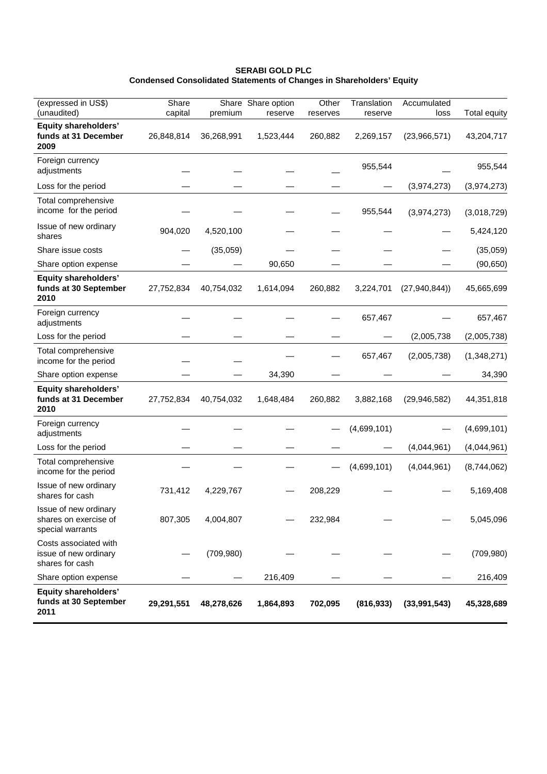# **SERABI GOLD PLC Condensed Consolidated Statements of Changes in Shareholders' Equity**

| (expressed in US\$)<br>(unaudited)                                 | Share<br>capital | premium    | Share Share option<br>reserve | Other<br>reserves | Translation<br>reserve | Accumulated<br>loss | <b>Total equity</b> |
|--------------------------------------------------------------------|------------------|------------|-------------------------------|-------------------|------------------------|---------------------|---------------------|
| <b>Equity shareholders'</b><br>funds at 31 December<br>2009        | 26,848,814       | 36,268,991 | 1,523,444                     | 260,882           | 2,269,157              | (23,966,571)        | 43,204,717          |
| Foreign currency<br>adjustments                                    |                  |            |                               |                   | 955,544                |                     | 955,544             |
| Loss for the period                                                |                  |            |                               |                   |                        | (3,974,273)         | (3,974,273)         |
| Total comprehensive<br>income for the period                       |                  |            |                               |                   | 955,544                | (3,974,273)         | (3,018,729)         |
| Issue of new ordinary<br>shares                                    | 904,020          | 4,520,100  |                               |                   |                        |                     | 5,424,120           |
| Share issue costs                                                  |                  | (35,059)   |                               |                   |                        |                     | (35,059)            |
| Share option expense                                               |                  |            | 90,650                        |                   |                        |                     | (90, 650)           |
| <b>Equity shareholders'</b><br>funds at 30 September<br>2010       | 27,752,834       | 40,754,032 | 1,614,094                     | 260,882           | 3,224,701              | (27, 940, 844)      | 45,665,699          |
| Foreign currency<br>adjustments                                    |                  |            |                               |                   | 657,467                |                     | 657,467             |
| Loss for the period                                                |                  |            |                               |                   |                        | (2,005,738)         | (2,005,738)         |
| Total comprehensive<br>income for the period                       |                  |            |                               |                   | 657,467                | (2,005,738)         | (1,348,271)         |
| Share option expense                                               |                  |            | 34,390                        |                   |                        |                     | 34,390              |
| <b>Equity shareholders'</b><br>funds at 31 December<br>2010        | 27,752,834       | 40,754,032 | 1,648,484                     | 260,882           | 3,882,168              | (29, 946, 582)      | 44,351,818          |
| Foreign currency<br>adjustments                                    |                  |            |                               |                   | (4,699,101)            |                     | (4,699,101)         |
| Loss for the period                                                |                  |            |                               |                   |                        | (4,044,961)         | (4,044,961)         |
| Total comprehensive<br>income for the period                       |                  |            |                               |                   | (4,699,101)            | (4,044,961)         | (8,744,062)         |
| Issue of new ordinary<br>shares for cash                           | 731,412          | 4,229,767  |                               | 208,229           |                        |                     | 5,169,408           |
| Issue of new ordinary<br>shares on exercise of<br>special warrants | 807,305          | 4,004,807  |                               | 232,984           |                        |                     | 5,045,096           |
| Costs associated with<br>issue of new ordinary<br>shares for cash  |                  | (709, 980) |                               |                   |                        |                     | (709, 980)          |
| Share option expense                                               |                  |            | 216,409                       |                   |                        |                     | 216,409             |
| <b>Equity shareholders'</b><br>funds at 30 September<br>2011       | 29,291,551       | 48,278,626 | 1,864,893                     | 702,095           | (816, 933)             | (33,991,543)        | 45,328,689          |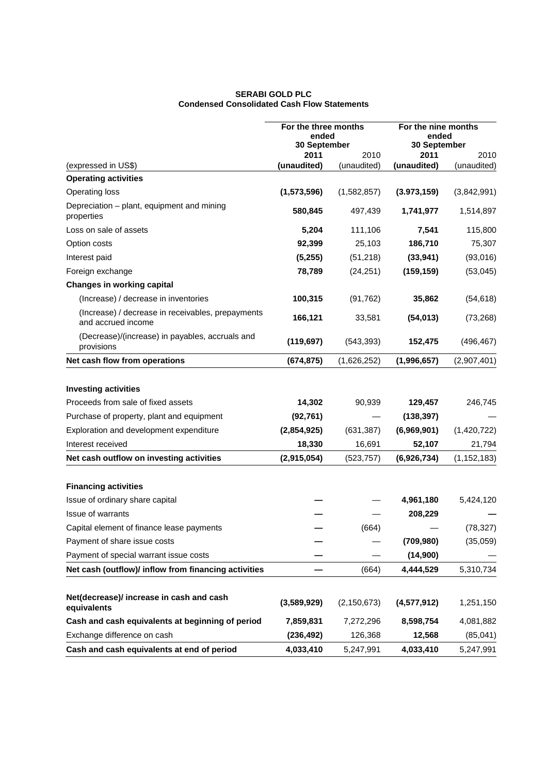# **SERABI GOLD PLC Condensed Consolidated Cash Flow Statements**

|                                                                         | For the three months<br>ended<br>30 September |               | For the nine months<br>ended<br>30 September |               |  |
|-------------------------------------------------------------------------|-----------------------------------------------|---------------|----------------------------------------------|---------------|--|
|                                                                         | 2011                                          | 2010          | 2011                                         | 2010          |  |
| (expressed in US\$)                                                     | (unaudited)                                   | (unaudited)   | (unaudited)                                  | (unaudited)   |  |
| <b>Operating activities</b>                                             |                                               |               |                                              |               |  |
| Operating loss                                                          | (1,573,596)                                   | (1,582,857)   | (3.973, 159)                                 | (3,842,991)   |  |
| Depreciation - plant, equipment and mining<br>properties                | 580,845                                       | 497,439       | 1,741,977                                    | 1,514,897     |  |
| Loss on sale of assets                                                  | 5,204                                         | 111,106       | 7,541                                        | 115,800       |  |
| Option costs                                                            | 92,399                                        | 25,103        | 186,710                                      | 75,307        |  |
| Interest paid                                                           | (5,255)                                       | (51, 218)     | (33, 941)                                    | (93,016)      |  |
| Foreign exchange                                                        | 78,789                                        | (24, 251)     | (159, 159)                                   | (53,045)      |  |
| <b>Changes in working capital</b>                                       |                                               |               |                                              |               |  |
| (Increase) / decrease in inventories                                    | 100,315                                       | (91, 762)     | 35,862                                       | (54, 618)     |  |
| (Increase) / decrease in receivables, prepayments<br>and accrued income | 166,121                                       | 33,581        | (54, 013)                                    | (73, 268)     |  |
| (Decrease)/(increase) in payables, accruals and<br>provisions           | (119, 697)                                    | (543, 393)    | 152,475                                      | (496, 467)    |  |
| Net cash flow from operations                                           | (674, 875)                                    | (1,626,252)   | (1,996,657)                                  | (2,907,401)   |  |
| <b>Investing activities</b><br>Proceeds from sale of fixed assets       | 14,302                                        | 90,939        | 129,457                                      | 246,745       |  |
| Purchase of property, plant and equipment                               | (92, 761)                                     |               | (138, 397)                                   |               |  |
| Exploration and development expenditure                                 | (2,854,925)                                   | (631, 387)    | (6,969,901)                                  | (1,420,722)   |  |
| Interest received                                                       | 18,330                                        | 16,691        | 52,107                                       | 21,794        |  |
| Net cash outflow on investing activities                                | (2,915,054)                                   | (523, 757)    | (6,926,734)                                  | (1, 152, 183) |  |
| <b>Financing activities</b>                                             |                                               |               |                                              |               |  |
| Issue of ordinary share capital                                         |                                               |               | 4,961,180                                    | 5,424,120     |  |
| Issue of warrants                                                       |                                               |               | 208,229                                      |               |  |
| Capital element of finance lease payments                               |                                               | (664)         |                                              | (78, 327)     |  |
| Payment of share issue costs                                            |                                               |               | (709, 980)                                   | (35,059)      |  |
| Payment of special warrant issue costs                                  |                                               |               | (14,900)                                     |               |  |
| Net cash (outflow)/ inflow from financing activities                    |                                               | (664)         | 4,444,529                                    | 5,310,734     |  |
| Net(decrease)/ increase in cash and cash<br>equivalents                 | (3,589,929)                                   | (2, 150, 673) | (4,577,912)                                  | 1,251,150     |  |
| Cash and cash equivalents at beginning of period                        | 7,859,831                                     | 7,272,296     | 8,598,754                                    | 4,081,882     |  |
| Exchange difference on cash                                             | (236, 492)                                    | 126,368       | 12,568                                       | (85,041)      |  |
| Cash and cash equivalents at end of period                              | 4,033,410                                     | 5,247,991     | 4,033,410                                    | 5,247,991     |  |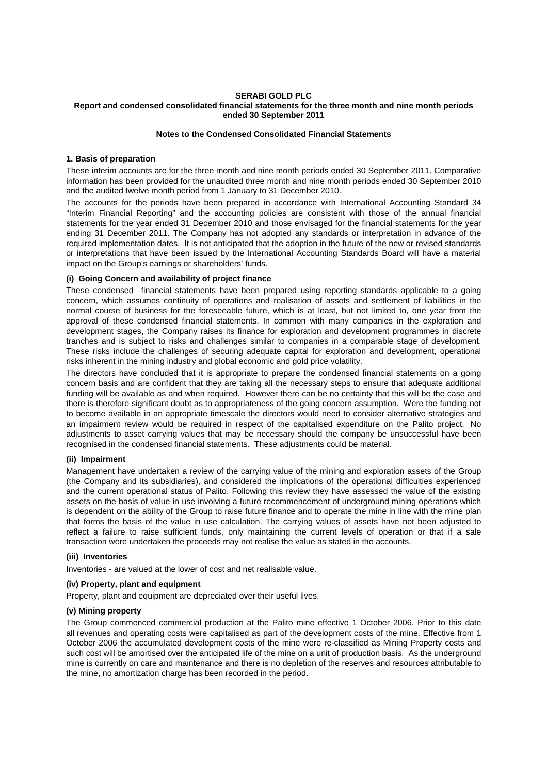#### **SERABI GOLD PLC Report and condensed consolidated financial statements for the three month and nine month periods ended 30 September 2011**

#### **Notes to the Condensed Consolidated Financial Statements**

#### **1. Basis of preparation**

These interim accounts are for the three month and nine month periods ended 30 September 2011. Comparative information has been provided for the unaudited three month and nine month periods ended 30 September 2010 and the audited twelve month period from 1 January to 31 December 2010.

The accounts for the periods have been prepared in accordance with International Accounting Standard 34 "Interim Financial Reporting" and the accounting policies are consistent with those of the annual financial statements for the year ended 31 December 2010 and those envisaged for the financial statements for the year ending 31 December 2011. The Company has not adopted any standards or interpretation in advance of the required implementation dates. It is not anticipated that the adoption in the future of the new or revised standards or interpretations that have been issued by the International Accounting Standards Board will have a material impact on the Group's earnings or shareholders' funds.

# **(i) Going Concern and availability of project finance**

These condensed financial statements have been prepared using reporting standards applicable to a going concern, which assumes continuity of operations and realisation of assets and settlement of liabilities in the normal course of business for the foreseeable future, which is at least, but not limited to, one year from the approval of these condensed financial statements. In common with many companies in the exploration and development stages, the Company raises its finance for exploration and development programmes in discrete tranches and is subject to risks and challenges similar to companies in a comparable stage of development. These risks include the challenges of securing adequate capital for exploration and development, operational risks inherent in the mining industry and global economic and gold price volatility.

The directors have concluded that it is appropriate to prepare the condensed financial statements on a going concern basis and are confident that they are taking all the necessary steps to ensure that adequate additional funding will be available as and when required. However there can be no certainty that this will be the case and there is therefore significant doubt as to appropriateness of the going concern assumption. Were the funding not to become available in an appropriate timescale the directors would need to consider alternative strategies and an impairment review would be required in respect of the capitalised expenditure on the Palito project. No adjustments to asset carrying values that may be necessary should the company be unsuccessful have been recognised in the condensed financial statements. These adjustments could be material.

#### **(ii) Impairment**

Management have undertaken a review of the carrying value of the mining and exploration assets of the Group (the Company and its subsidiaries), and considered the implications of the operational difficulties experienced and the current operational status of Palito. Following this review they have assessed the value of the existing assets on the basis of value in use involving a future recommencement of underground mining operations which is dependent on the ability of the Group to raise future finance and to operate the mine in line with the mine plan that forms the basis of the value in use calculation. The carrying values of assets have not been adjusted to reflect a failure to raise sufficient funds, only maintaining the current levels of operation or that if a sale transaction were undertaken the proceeds may not realise the value as stated in the accounts.

#### **(iii) Inventories**

Inventories - are valued at the lower of cost and net realisable value.

#### **(iv) Property, plant and equipment**

Property, plant and equipment are depreciated over their useful lives.

#### **(v) Mining property**

The Group commenced commercial production at the Palito mine effective 1 October 2006. Prior to this date all revenues and operating costs were capitalised as part of the development costs of the mine. Effective from 1 October 2006 the accumulated development costs of the mine were re-classified as Mining Property costs and such cost will be amortised over the anticipated life of the mine on a unit of production basis. As the underground mine is currently on care and maintenance and there is no depletion of the reserves and resources attributable to the mine, no amortization charge has been recorded in the period.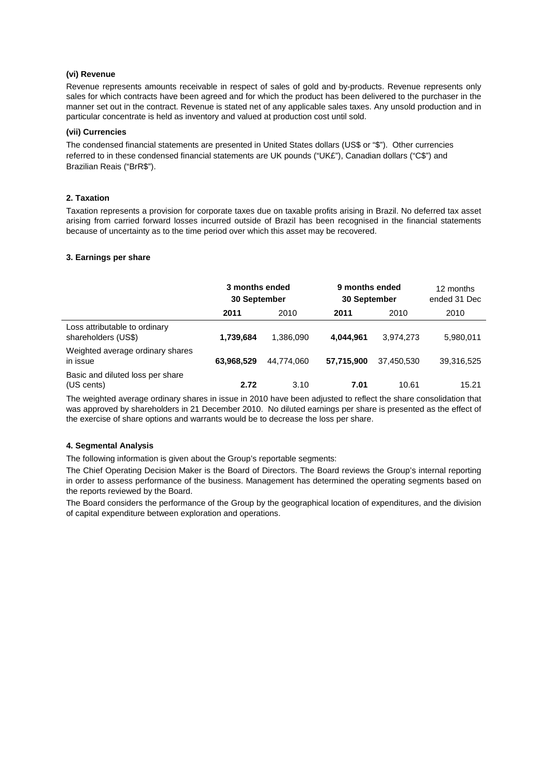# **(vi) Revenue**

Revenue represents amounts receivable in respect of sales of gold and by-products. Revenue represents only sales for which contracts have been agreed and for which the product has been delivered to the purchaser in the manner set out in the contract. Revenue is stated net of any applicable sales taxes. Any unsold production and in particular concentrate is held as inventory and valued at production cost until sold.

#### **(vii) Currencies**

The condensed financial statements are presented in United States dollars (US\$ or "\$"). Other currencies referred to in these condensed financial statements are UK pounds ("UK£"), Canadian dollars ("C\$") and Brazilian Reais ("BrR\$").

## **2. Taxation**

Taxation represents a provision for corporate taxes due on taxable profits arising in Brazil. No deferred tax asset arising from carried forward losses incurred outside of Brazil has been recognised in the financial statements because of uncertainty as to the time period over which this asset may be recovered.

### **3. Earnings per share**

|                                                      | 3 months ended<br>30 September |            | 9 months ended<br>30 September |            | 12 months<br>ended 31 Dec |
|------------------------------------------------------|--------------------------------|------------|--------------------------------|------------|---------------------------|
|                                                      | 2011                           | 2010       | 2011                           | 2010       | 2010                      |
| Loss attributable to ordinary<br>shareholders (US\$) | 1,739,684                      | 1.386.090  | 4,044,961                      | 3,974,273  | 5,980,011                 |
| Weighted average ordinary shares<br>in issue         | 63,968,529                     | 44.774.060 | 57,715,900                     | 37,450,530 | 39,316,525                |
| Basic and diluted loss per share<br>(US cents)       | 2.72                           | 3.10       | 7.01                           | 10.61      | 15.21                     |

The weighted average ordinary shares in issue in 2010 have been adjusted to reflect the share consolidation that was approved by shareholders in 21 December 2010. No diluted earnings per share is presented as the effect of the exercise of share options and warrants would be to decrease the loss per share.

#### **4. Segmental Analysis**

The following information is given about the Group's reportable segments:

The Chief Operating Decision Maker is the Board of Directors. The Board reviews the Group's internal reporting in order to assess performance of the business. Management has determined the operating segments based on the reports reviewed by the Board.

The Board considers the performance of the Group by the geographical location of expenditures, and the division of capital expenditure between exploration and operations.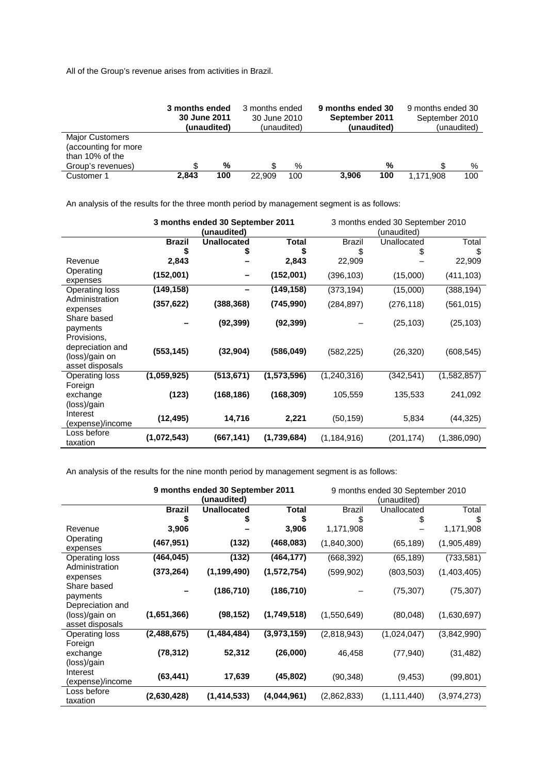All of the Group's revenue arises from activities in Brazil.

|                                                                                        | 3 months ended<br>30 June 2011 | (unaudited) | 3 months ended<br>30 June 2010 | (unaudited) | 9 months ended 30<br>September 2011 | (unaudited) | 9 months ended 30<br>September 2010 | (unaudited) |
|----------------------------------------------------------------------------------------|--------------------------------|-------------|--------------------------------|-------------|-------------------------------------|-------------|-------------------------------------|-------------|
| <b>Major Customers</b><br>(accounting for more<br>than 10% of the<br>Group's revenues) |                                | %           |                                | %           |                                     | %           |                                     | %           |
| Customer 1                                                                             | 2,843                          | 100         | 22,909                         | 100         | 3.906                               | 100         | 1.171.908                           | 100         |

An analysis of the results for the three month period by management segment is as follows:

|                                                                      |               | 3 months ended 30 September 2011<br>(unaudited) |              |               | 3 months ended 30 September 2010<br>(unaudited) |             |
|----------------------------------------------------------------------|---------------|-------------------------------------------------|--------------|---------------|-------------------------------------------------|-------------|
|                                                                      | <b>Brazil</b> | <b>Unallocated</b>                              | <b>Total</b> | <b>Brazil</b> | Unallocated                                     | Total       |
|                                                                      | \$            |                                                 | \$           | \$            |                                                 | \$          |
| Revenue                                                              | 2,843         |                                                 | 2,843        | 22,909        |                                                 | 22,909      |
| Operating<br>expenses                                                | (152,001)     |                                                 | (152,001)    | (396, 103)    | (15,000)                                        | (411, 103)  |
| <b>Operating loss</b>                                                | (149, 158)    |                                                 | (149, 158)   | (373, 194)    | (15,000)                                        | (388, 194)  |
| Administration<br>expenses                                           | (357, 622)    | (388, 368)                                      | (745, 990)   | (284, 897)    | (276, 118)                                      | (561, 015)  |
| Share based<br>payments                                              |               | (92, 399)                                       | (92, 399)    |               | (25, 103)                                       | (25,103)    |
| Provisions,<br>depreciation and<br>(loss)/gain on<br>asset disposals | (553, 145)    | (32, 904)                                       | (586, 049)   | (582, 225)    | (26, 320)                                       | (608, 545)  |
| <b>Operating loss</b>                                                | (1,059,925)   | (513, 671)                                      | (1,573,596)  | (1, 240, 316) | (342, 541)                                      | (1,582,857) |
| Foreign<br>exchange<br>(loss)/gain                                   | (123)         | (168, 186)                                      | (168, 309)   | 105,559       | 135,533                                         | 241,092     |
| Interest<br>(expense)/income                                         | (12, 495)     | 14,716                                          | 2,221        | (50, 159)     | 5,834                                           | (44, 325)   |
| Loss before<br>taxation                                              | (1,072,543)   | (667,141)                                       | (1,739,684)  | (1, 184, 916) | (201, 174)                                      | (1,386,090) |

An analysis of the results for the nine month period by management segment is as follows:

|                                                       |               | 9 months ended 30 September 2011<br>(unaudited) |             |               | 9 months ended 30 September 2010<br>(unaudited) |             |
|-------------------------------------------------------|---------------|-------------------------------------------------|-------------|---------------|-------------------------------------------------|-------------|
|                                                       | <b>Brazil</b> | <b>Unallocated</b>                              | Total       | <b>Brazil</b> | Unallocated                                     | Total       |
|                                                       |               | \$                                              | \$          | \$            | \$                                              | \$          |
| Revenue                                               | 3,906         |                                                 | 3,906       | 1,171,908     |                                                 | 1,171,908   |
| Operating<br>expenses                                 | (467, 951)    | (132)                                           | (468, 083)  | (1,840,300)   | (65, 189)                                       | (1,905,489) |
| Operating loss                                        | (464, 045)    | (132)                                           | (464, 177)  | (668,392)     | (65, 189)                                       | (733, 581)  |
| Administration<br>expenses                            | (373, 264)    | (1, 199, 490)                                   | (1,572,754) | (599, 902)    | (803, 503)                                      | (1,403,405) |
| Share based<br>payments                               |               | (186, 710)                                      | (186, 710)  |               | (75, 307)                                       | (75, 307)   |
| Depreciation and<br>(loss)/gain on<br>asset disposals | (1,651,366)   | (98, 152)                                       | (1,749,518) | (1,550,649)   | (80,048)                                        | (1,630,697) |
| Operating loss                                        | (2,488,675)   | (1,484,484)                                     | (3,973,159) | (2,818,943)   | (1,024,047)                                     | (3,842,990) |
| Foreign<br>exchange<br>(loss)/gain                    | (78, 312)     | 52,312                                          | (26,000)    | 46,458        | (77, 940)                                       | (31, 482)   |
| Interest<br>(expense)/income                          | (63, 441)     | 17,639                                          | (45, 802)   | (90, 348)     | (9, 453)                                        | (99, 801)   |
| Loss before<br>taxation                               | (2,630,428)   | (1, 414, 533)                                   | (4,044,961) | (2,862,833)   | (1, 111, 440)                                   | (3,974,273) |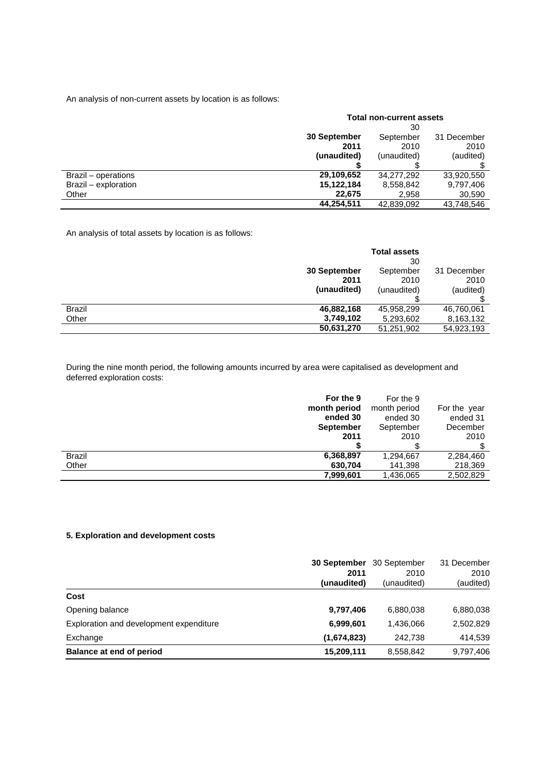An analysis of non-current assets by location is as follows:

|                      | <b>Total non-current assets</b> |             |             |  |
|----------------------|---------------------------------|-------------|-------------|--|
|                      | 30                              |             |             |  |
|                      | 30 September                    | September   | 31 December |  |
|                      | 2011                            | 2010        | 2010        |  |
|                      | (unaudited)                     | (unaudited) | (audited)   |  |
|                      |                                 |             |             |  |
| Brazil – operations  | 29,109,652                      | 34,277,292  | 33,920,550  |  |
| Brazil - exploration | 15,122,184                      | 8,558,842   | 9,797,406   |  |
| Other                | 22,675                          | 2,958       | 30,590      |  |
|                      | 44.254.511                      | 42,839,092  | 43.748.546  |  |

An analysis of total assets by location is as follows:

|               |              | <b>Total assets</b> |             |
|---------------|--------------|---------------------|-------------|
|               |              | 30                  |             |
|               | 30 September | September           | 31 December |
|               | 2011         | 2010                | 2010        |
|               | (unaudited)  | (unaudited)         | (audited)   |
|               |              |                     |             |
| <b>Brazil</b> | 46,882,168   | 45,958,299          | 46,760,061  |
| Other         | 3,749,102    | 5,293,602           | 8,163,132   |
|               | 50,631,270   | 51,251,902          | 54,923,193  |

During the nine month period, the following amounts incurred by area were capitalised as development and deferred exploration costs:

|               | For the 9        | For the 9    |              |
|---------------|------------------|--------------|--------------|
|               | month period     | month period | For the year |
|               | ended 30         | ended 30     | ended 31     |
|               | <b>September</b> | September    | December     |
|               | 2011             | 2010         | 2010         |
|               |                  |              |              |
| <b>Brazil</b> | 6,368,897        | 1,294,667    | 2,284,460    |
| Other         | 630,704          | 141.398      | 218,369      |
|               | 7,999,601        | 1,436,065    | 2,502,829    |

# **5. Exploration and development costs**

|                                         | 30 September<br>2011<br>(unaudited) | 30 September<br>2010<br>(unaudited) | 31 December<br>2010<br>(audited) |
|-----------------------------------------|-------------------------------------|-------------------------------------|----------------------------------|
| Cost                                    |                                     |                                     |                                  |
| Opening balance                         | 9,797,406                           | 6,880,038                           | 6,880,038                        |
| Exploration and development expenditure | 6,999,601                           | 1,436,066                           | 2,502,829                        |
| Exchange                                | (1,674,823)                         | 242.738                             | 414,539                          |
| Balance at end of period                | 15,209,111                          | 8,558,842                           | 9,797,406                        |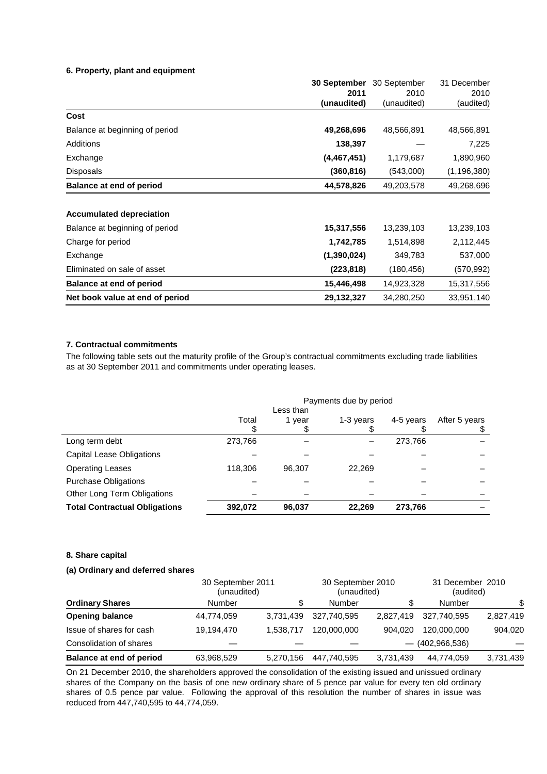# **6. Property, plant and equipment**

|                                 | 30 September | 30 September | 31 December   |
|---------------------------------|--------------|--------------|---------------|
|                                 | 2011         | 2010         | 2010          |
|                                 | (unaudited)  | (unaudited)  | (audited)     |
| Cost                            |              |              |               |
| Balance at beginning of period  | 49,268,696   | 48,566,891   | 48,566,891    |
| Additions                       | 138,397      |              | 7,225         |
| Exchange                        | (4,467,451)  | 1,179,687    | 1,890,960     |
| Disposals                       | (360, 816)   | (543,000)    | (1, 196, 380) |
| Balance at end of period        | 44,578,826   | 49,203,578   | 49,268,696    |
| <b>Accumulated depreciation</b> |              |              |               |
| Balance at beginning of period  | 15,317,556   | 13,239,103   | 13,239,103    |
| Charge for period               | 1,742,785    | 1,514,898    | 2,112,445     |
| Exchange                        | (1,390,024)  | 349,783      | 537,000       |
| Eliminated on sale of asset     | (223,818)    | (180, 456)   | (570,992)     |
| <b>Balance at end of period</b> | 15,446,498   | 14,923,328   | 15,317,556    |
| Net book value at end of period | 29,132,327   | 34,280,250   | 33,951,140    |

# **7. Contractual commitments**

The following table sets out the maturity profile of the Group's contractual commitments excluding trade liabilities as at 30 September 2011 and commitments under operating leases.

|                                      | Payments due by period |                   |           |           |                     |
|--------------------------------------|------------------------|-------------------|-----------|-----------|---------------------|
|                                      | Total                  | Less than<br>year | 1-3 years | 4-5 years | After 5 years<br>\$ |
| Long term debt                       | 273,766                |                   |           | 273,766   |                     |
| <b>Capital Lease Obligations</b>     |                        |                   |           |           |                     |
| <b>Operating Leases</b>              | 118,306                | 96.307            | 22,269    |           |                     |
| <b>Purchase Obligations</b>          |                        |                   |           |           |                     |
| Other Long Term Obligations          |                        |                   |           |           |                     |
| <b>Total Contractual Obligations</b> | 392,072                | 96,037            | 22,269    | 273,766   |                     |

# **8. Share capital**

# **(a) Ordinary and deferred shares**

|                                 | 30 September 2011<br>(unaudited) |           | 30 September 2010<br>(unaudited) |           | 31 December 2010<br>(audited) |           |
|---------------------------------|----------------------------------|-----------|----------------------------------|-----------|-------------------------------|-----------|
| <b>Ordinary Shares</b>          | Number                           | \$        | Number                           | \$        | Number                        | \$        |
| <b>Opening balance</b>          | 44,774,059                       | 3.731.439 | 327.740.595                      | 2.827.419 | 327.740.595                   | 2,827,419 |
| Issue of shares for cash        | 19,194,470                       | 1.538.717 | 120,000,000                      | 904.020   | 120,000,000                   | 904.020   |
| Consolidation of shares         |                                  |           |                                  |           | $-$ (402,966,536)             |           |
| <b>Balance at end of period</b> | 63,968,529                       | 5.270.156 | 447.740.595                      | 3,731,439 | 44,774,059                    | 3,731,439 |

On 21 December 2010, the shareholders approved the consolidation of the existing issued and unissued ordinary shares of the Company on the basis of one new ordinary share of 5 pence par value for every ten old ordinary shares of 0.5 pence par value. Following the approval of this resolution the number of shares in issue was reduced from 447,740,595 to 44,774,059.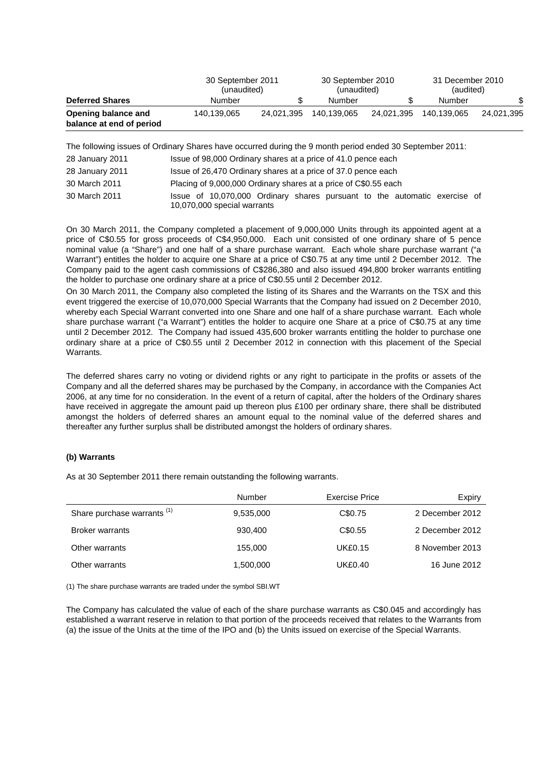|                                                 | 30 September 2011<br>(unaudited) | 30 September 2010<br>(unaudited) |             |            | 31 December 2010<br>(audited) |            |
|-------------------------------------------------|----------------------------------|----------------------------------|-------------|------------|-------------------------------|------------|
| <b>Deferred Shares</b>                          | Number                           |                                  | Number      | \$         | Number                        |            |
| Opening balance and<br>balance at end of period | 140.139.065                      | 24.021.395                       | 140.139.065 | 24.021.395 | 140.139.065                   | 24.021.395 |

The following issues of Ordinary Shares have occurred during the 9 month period ended 30 September 2011:

| 28 January 2011 | Issue of 98,000 Ordinary shares at a price of 41.0 pence each                                            |
|-----------------|----------------------------------------------------------------------------------------------------------|
| 28 January 2011 | Issue of 26,470 Ordinary shares at a price of 37.0 pence each                                            |
| 30 March 2011   | Placing of 9,000,000 Ordinary shares at a price of C\$0.55 each                                          |
| 30 March 2011   | Issue of 10,070,000 Ordinary shares pursuant to the automatic exercise of<br>10,070,000 special warrants |

On 30 March 2011, the Company completed a placement of 9,000,000 Units through its appointed agent at a price of C\$0.55 for gross proceeds of C\$4,950,000. Each unit consisted of one ordinary share of 5 pence nominal value (a "Share") and one half of a share purchase warrant. Each whole share purchase warrant ("a Warrant") entitles the holder to acquire one Share at a price of C\$0.75 at any time until 2 December 2012. The Company paid to the agent cash commissions of C\$286,380 and also issued 494,800 broker warrants entitling the holder to purchase one ordinary share at a price of C\$0.55 until 2 December 2012.

On 30 March 2011, the Company also completed the listing of its Shares and the Warrants on the TSX and this event triggered the exercise of 10,070,000 Special Warrants that the Company had issued on 2 December 2010, whereby each Special Warrant converted into one Share and one half of a share purchase warrant. Each whole share purchase warrant ("a Warrant") entitles the holder to acquire one Share at a price of C\$0.75 at any time until 2 December 2012. The Company had issued 435,600 broker warrants entitling the holder to purchase one ordinary share at a price of C\$0.55 until 2 December 2012 in connection with this placement of the Special Warrants.

The deferred shares carry no voting or dividend rights or any right to participate in the profits or assets of the Company and all the deferred shares may be purchased by the Company, in accordance with the Companies Act 2006, at any time for no consideration. In the event of a return of capital, after the holders of the Ordinary shares have received in aggregate the amount paid up thereon plus £100 per ordinary share, there shall be distributed amongst the holders of deferred shares an amount equal to the nominal value of the deferred shares and thereafter any further surplus shall be distributed amongst the holders of ordinary shares.

# **(b) Warrants**

As at 30 September 2011 there remain outstanding the following warrants.

|                                        | Number    | Exercise Price | Expiry          |
|----------------------------------------|-----------|----------------|-----------------|
| Share purchase warrants <sup>(1)</sup> | 9,535,000 | C\$0.75        | 2 December 2012 |
| <b>Broker warrants</b>                 | 930,400   | C\$0.55        | 2 December 2012 |
| Other warrants                         | 155.000   | <b>UK£0.15</b> | 8 November 2013 |
| Other warrants                         | 1,500,000 | UK£0.40        | 16 June 2012    |

(1) The share purchase warrants are traded under the symbol SBI.WT

The Company has calculated the value of each of the share purchase warrants as C\$0.045 and accordingly has established a warrant reserve in relation to that portion of the proceeds received that relates to the Warrants from (a) the issue of the Units at the time of the IPO and (b) the Units issued on exercise of the Special Warrants.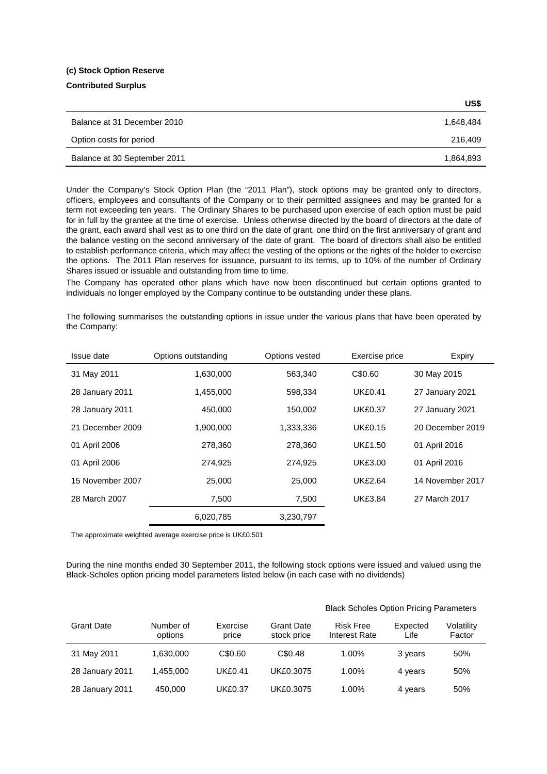#### **(c) Stock Option Reserve**

## **Contributed Surplus**

|                              | US\$      |
|------------------------------|-----------|
| Balance at 31 December 2010  | 1,648,484 |
| Option costs for period      | 216,409   |
| Balance at 30 September 2011 | 1,864,893 |

Under the Company's Stock Option Plan (the "2011 Plan"), stock options may be granted only to directors, officers, employees and consultants of the Company or to their permitted assignees and may be granted for a term not exceeding ten years. The Ordinary Shares to be purchased upon exercise of each option must be paid for in full by the grantee at the time of exercise. Unless otherwise directed by the board of directors at the date of the grant, each award shall vest as to one third on the date of grant, one third on the first anniversary of grant and the balance vesting on the second anniversary of the date of grant. The board of directors shall also be entitled to establish performance criteria, which may affect the vesting of the options or the rights of the holder to exercise the options. The 2011 Plan reserves for issuance, pursuant to its terms, up to 10% of the number of Ordinary Shares issued or issuable and outstanding from time to time.

The Company has operated other plans which have now been discontinued but certain options granted to individuals no longer employed by the Company continue to be outstanding under these plans.

The following summarises the outstanding options in issue under the various plans that have been operated by the Company:

| Issue date       | Options outstanding | Options vested | Exercise price | Expiry           |
|------------------|---------------------|----------------|----------------|------------------|
| 31 May 2011      | 1,630,000           | 563,340        | C\$0.60        | 30 May 2015      |
| 28 January 2011  | 1,455,000           | 598,334        | <b>UK£0.41</b> | 27 January 2021  |
| 28 January 2011  | 450,000             | 150,002        | <b>UK£0.37</b> | 27 January 2021  |
| 21 December 2009 | 1.900.000           | 1,333,336      | <b>UK£0.15</b> | 20 December 2019 |
| 01 April 2006    | 278,360             | 278,360        | <b>UK£1.50</b> | 01 April 2016    |
| 01 April 2006    | 274,925             | 274,925        | <b>UK£3.00</b> | 01 April 2016    |
| 15 November 2007 | 25,000              | 25,000         | <b>UK£2.64</b> | 14 November 2017 |
| 28 March 2007    | 7,500               | 7,500          | <b>UK£3.84</b> | 27 March 2017    |
|                  | 6,020,785           | 3,230,797      |                |                  |

The approximate weighted average exercise price is UK£0.501

During the nine months ended 30 September 2011, the following stock options were issued and valued using the Black-Scholes option pricing model parameters listed below (in each case with no dividends)

|                   |                      |                   |                                  | <b>Black Scholes Option Pricing Parameters</b> |                  |                      |  |
|-------------------|----------------------|-------------------|----------------------------------|------------------------------------------------|------------------|----------------------|--|
| <b>Grant Date</b> | Number of<br>options | Exercise<br>price | <b>Grant Date</b><br>stock price | <b>Risk Free</b><br>Interest Rate              | Expected<br>Life | Volatility<br>Factor |  |
| 31 May 2011       | 1.630.000            | C\$0.60           | C\$0.48                          | $1.00\%$                                       | 3 years          | 50%                  |  |
| 28 January 2011   | 1.455.000            | <b>UK£0.41</b>    | UK£0.3075                        | 1.00%                                          | 4 years          | 50%                  |  |
| 28 January 2011   | 450,000              | <b>UK£0.37</b>    | UK£0.3075                        | 1.00%                                          | 4 years          | 50%                  |  |